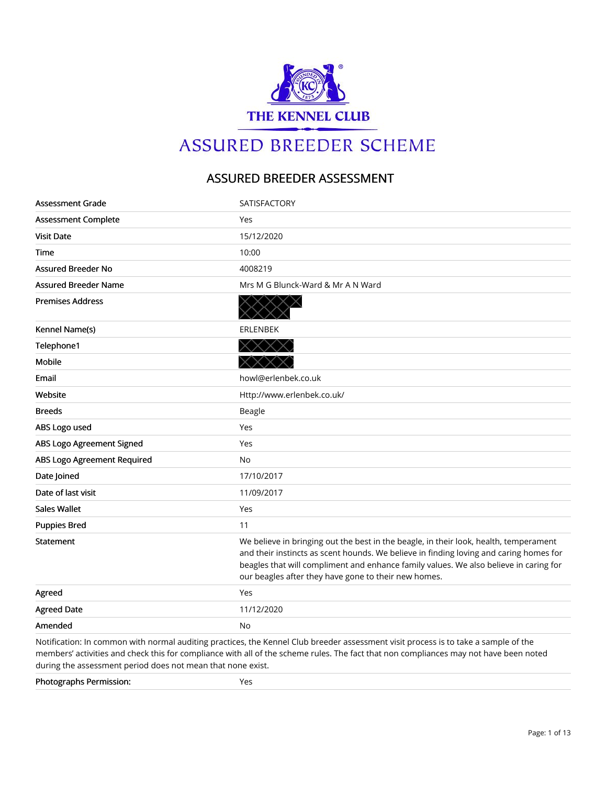

# **ASSURED BREEDER SCHEME**

## ASSURED BREEDER ASSESSMENT

| Assessment Grade            | <b>SATISFACTORY</b>                                                                                                                                                                                                                                                                                                              |
|-----------------------------|----------------------------------------------------------------------------------------------------------------------------------------------------------------------------------------------------------------------------------------------------------------------------------------------------------------------------------|
| <b>Assessment Complete</b>  | Yes                                                                                                                                                                                                                                                                                                                              |
| <b>Visit Date</b>           | 15/12/2020                                                                                                                                                                                                                                                                                                                       |
| Time                        | 10:00                                                                                                                                                                                                                                                                                                                            |
| <b>Assured Breeder No</b>   | 4008219                                                                                                                                                                                                                                                                                                                          |
| <b>Assured Breeder Name</b> | Mrs M G Blunck-Ward & Mr A N Ward                                                                                                                                                                                                                                                                                                |
| <b>Premises Address</b>     |                                                                                                                                                                                                                                                                                                                                  |
| Kennel Name(s)              | <b>ERLENBEK</b>                                                                                                                                                                                                                                                                                                                  |
| Telephone1                  | $\times$                                                                                                                                                                                                                                                                                                                         |
| <b>Mobile</b>               |                                                                                                                                                                                                                                                                                                                                  |
| Email                       | howl@erlenbek.co.uk                                                                                                                                                                                                                                                                                                              |
| Website                     | Http://www.erlenbek.co.uk/                                                                                                                                                                                                                                                                                                       |
| <b>Breeds</b>               | Beagle                                                                                                                                                                                                                                                                                                                           |
| ABS Logo used               | Yes                                                                                                                                                                                                                                                                                                                              |
| ABS Logo Agreement Signed   | Yes                                                                                                                                                                                                                                                                                                                              |
| ABS Logo Agreement Required | No                                                                                                                                                                                                                                                                                                                               |
| Date Joined                 | 17/10/2017                                                                                                                                                                                                                                                                                                                       |
| Date of last visit          | 11/09/2017                                                                                                                                                                                                                                                                                                                       |
| Sales Wallet                | Yes                                                                                                                                                                                                                                                                                                                              |
| <b>Puppies Bred</b>         | 11                                                                                                                                                                                                                                                                                                                               |
| Statement                   | We believe in bringing out the best in the beagle, in their look, health, temperament<br>and their instincts as scent hounds. We believe in finding loving and caring homes for<br>beagles that will compliment and enhance family values. We also believe in caring for<br>our beagles after they have gone to their new homes. |
| Agreed                      | Yes                                                                                                                                                                                                                                                                                                                              |
| <b>Agreed Date</b>          | 11/12/2020                                                                                                                                                                                                                                                                                                                       |
| Amended                     | No                                                                                                                                                                                                                                                                                                                               |

Notification: In common with normal auditing practices, the Kennel Club breeder assessment visit process is to take a sample of the members' activities and check this for compliance with all of the scheme rules. The fact that non compliances may not have been noted during the assessment period does not mean that none exist.

| <b>Photographs Permission:</b> | ___ |
|--------------------------------|-----|
|                                |     |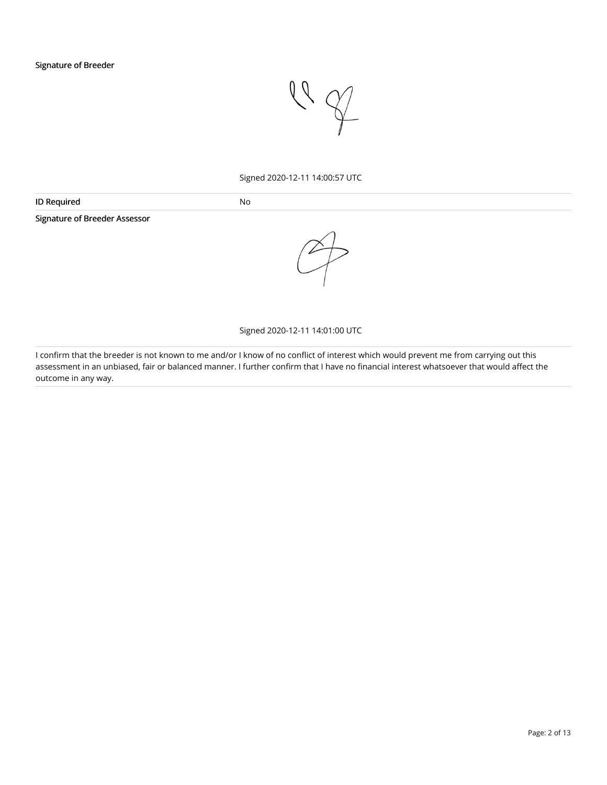

#### Signed 2020-12-11 14:00:57 UTC

| <b>IDR</b><br>11 H I | NC. |
|----------------------|-----|
|                      |     |

Signature of Breeder Assessor



#### Signed 2020-12-11 14:01:00 UTC

I confirm that the breeder is not known to me and/or I know of no conflict of interest which would prevent me from carrying out this assessment in an unbiased, fair or balanced manner. I further confirm that I have no financial interest whatsoever that would affect the outcome in any way.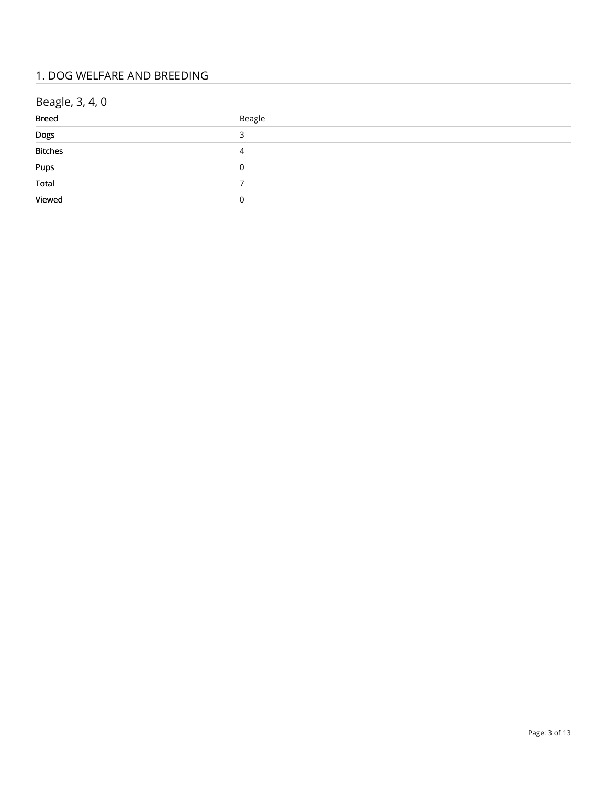## 1. DOG WELFARE AND BREEDING

# Beagle, 3, 4, 0

| .                                  |        |
|------------------------------------|--------|
| <b>Breed</b>                       | Beagle |
| Dogs<br>Bitches                    |        |
|                                    | 4      |
| Pups<br>Total                      | 0      |
|                                    |        |
| <b>Contract Contract</b><br>Viewed | 0      |
|                                    |        |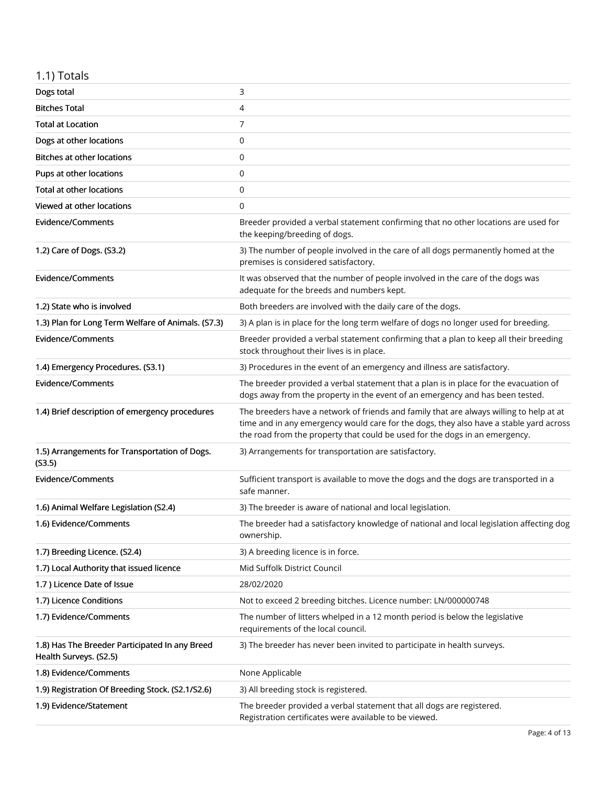# 1.1) Totals

| Dogs total                                                               | 3                                                                                                                                                                                                                                                                |
|--------------------------------------------------------------------------|------------------------------------------------------------------------------------------------------------------------------------------------------------------------------------------------------------------------------------------------------------------|
| <b>Bitches Total</b>                                                     | 4                                                                                                                                                                                                                                                                |
| <b>Total at Location</b>                                                 | 7                                                                                                                                                                                                                                                                |
| Dogs at other locations                                                  | 0                                                                                                                                                                                                                                                                |
| Bitches at other locations                                               | 0                                                                                                                                                                                                                                                                |
| Pups at other locations                                                  | 0                                                                                                                                                                                                                                                                |
| <b>Total at other locations</b>                                          | 0                                                                                                                                                                                                                                                                |
| Viewed at other locations                                                | 0                                                                                                                                                                                                                                                                |
| <b>Evidence/Comments</b>                                                 | Breeder provided a verbal statement confirming that no other locations are used for<br>the keeping/breeding of dogs.                                                                                                                                             |
| 1.2) Care of Dogs. (S3.2)                                                | 3) The number of people involved in the care of all dogs permanently homed at the<br>premises is considered satisfactory.                                                                                                                                        |
| <b>Evidence/Comments</b>                                                 | It was observed that the number of people involved in the care of the dogs was<br>adequate for the breeds and numbers kept.                                                                                                                                      |
| 1.2) State who is involved                                               | Both breeders are involved with the daily care of the dogs.                                                                                                                                                                                                      |
| 1.3) Plan for Long Term Welfare of Animals. (S7.3)                       | 3) A plan is in place for the long term welfare of dogs no longer used for breeding.                                                                                                                                                                             |
| <b>Evidence/Comments</b>                                                 | Breeder provided a verbal statement confirming that a plan to keep all their breeding<br>stock throughout their lives is in place.                                                                                                                               |
| 1.4) Emergency Procedures. (S3.1)                                        | 3) Procedures in the event of an emergency and illness are satisfactory.                                                                                                                                                                                         |
| <b>Evidence/Comments</b>                                                 | The breeder provided a verbal statement that a plan is in place for the evacuation of<br>dogs away from the property in the event of an emergency and has been tested.                                                                                           |
|                                                                          |                                                                                                                                                                                                                                                                  |
| 1.4) Brief description of emergency procedures                           | The breeders have a network of friends and family that are always willing to help at at<br>time and in any emergency would care for the dogs, they also have a stable yard across<br>the road from the property that could be used for the dogs in an emergency. |
| 1.5) Arrangements for Transportation of Dogs.<br>(S3.5)                  | 3) Arrangements for transportation are satisfactory.                                                                                                                                                                                                             |
| <b>Evidence/Comments</b>                                                 | Sufficient transport is available to move the dogs and the dogs are transported in a<br>safe manner.                                                                                                                                                             |
| 1.6) Animal Welfare Legislation (S2.4)                                   | 3) The breeder is aware of national and local legislation.                                                                                                                                                                                                       |
| 1.6) Evidence/Comments                                                   | The breeder had a satisfactory knowledge of national and local legislation affecting dog<br>ownership.                                                                                                                                                           |
| 1.7) Breeding Licence. (S2.4)                                            | 3) A breeding licence is in force.                                                                                                                                                                                                                               |
| 1.7) Local Authority that issued licence                                 | Mid Suffolk District Council                                                                                                                                                                                                                                     |
| 1.7) Licence Date of Issue                                               | 28/02/2020                                                                                                                                                                                                                                                       |
| 1.7) Licence Conditions                                                  | Not to exceed 2 breeding bitches. Licence number: LN/000000748                                                                                                                                                                                                   |
| 1.7) Evidence/Comments                                                   | The number of litters whelped in a 12 month period is below the legislative<br>requirements of the local council.                                                                                                                                                |
| 1.8) Has The Breeder Participated In any Breed<br>Health Surveys. (S2.5) | 3) The breeder has never been invited to participate in health surveys.                                                                                                                                                                                          |
| 1.8) Evidence/Comments                                                   | None Applicable                                                                                                                                                                                                                                                  |
| 1.9) Registration Of Breeding Stock. (S2.1/S2.6)                         | 3) All breeding stock is registered.                                                                                                                                                                                                                             |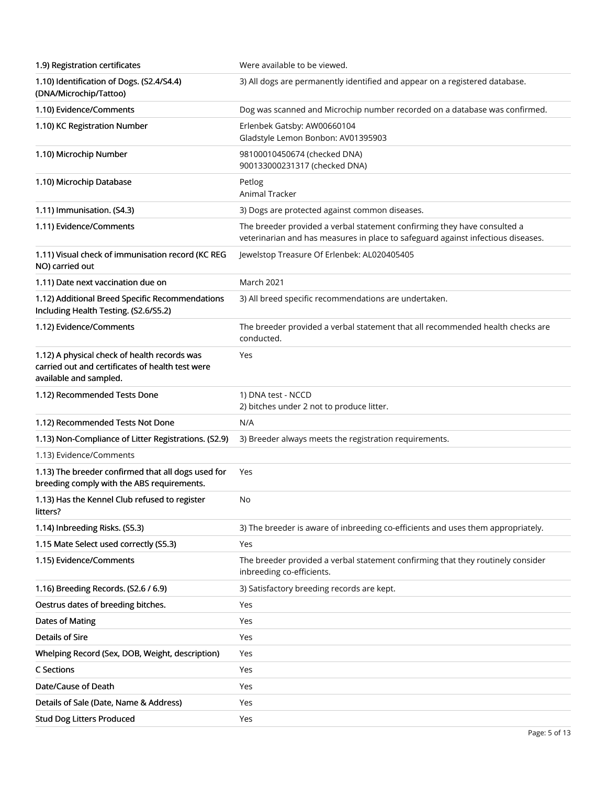| 1.9) Registration certificates                                                                                             | Were available to be viewed.                                                                                                                                 |
|----------------------------------------------------------------------------------------------------------------------------|--------------------------------------------------------------------------------------------------------------------------------------------------------------|
| 1.10) Identification of Dogs. (S2.4/S4.4)<br>(DNA/Microchip/Tattoo)                                                        | 3) All dogs are permanently identified and appear on a registered database.                                                                                  |
| 1.10) Evidence/Comments                                                                                                    | Dog was scanned and Microchip number recorded on a database was confirmed.                                                                                   |
| 1.10) KC Registration Number                                                                                               | Erlenbek Gatsby: AW00660104<br>Gladstyle Lemon Bonbon: AV01395903                                                                                            |
| 1.10) Microchip Number                                                                                                     | 98100010450674 (checked DNA)<br>900133000231317 (checked DNA)                                                                                                |
| 1.10) Microchip Database                                                                                                   | Petlog<br><b>Animal Tracker</b>                                                                                                                              |
| 1.11) Immunisation. (S4.3)                                                                                                 | 3) Dogs are protected against common diseases.                                                                                                               |
| 1.11) Evidence/Comments                                                                                                    | The breeder provided a verbal statement confirming they have consulted a<br>veterinarian and has measures in place to safeguard against infectious diseases. |
| 1.11) Visual check of immunisation record (KC REG<br>NO) carried out                                                       | Jewelstop Treasure Of Erlenbek: AL020405405                                                                                                                  |
| 1.11) Date next vaccination due on                                                                                         | March 2021                                                                                                                                                   |
| 1.12) Additional Breed Specific Recommendations<br>Including Health Testing. (S2.6/S5.2)                                   | 3) All breed specific recommendations are undertaken.                                                                                                        |
| 1.12) Evidence/Comments                                                                                                    | The breeder provided a verbal statement that all recommended health checks are<br>conducted.                                                                 |
| 1.12) A physical check of health records was<br>carried out and certificates of health test were<br>available and sampled. | Yes                                                                                                                                                          |
| 1.12) Recommended Tests Done                                                                                               | 1) DNA test - NCCD<br>2) bitches under 2 not to produce litter.                                                                                              |
|                                                                                                                            |                                                                                                                                                              |
| 1.12) Recommended Tests Not Done                                                                                           | N/A                                                                                                                                                          |
| 1.13) Non-Compliance of Litter Registrations. (S2.9)                                                                       | 3) Breeder always meets the registration requirements.                                                                                                       |
| 1.13) Evidence/Comments                                                                                                    |                                                                                                                                                              |
| 1.13) The breeder confirmed that all dogs used for<br>breeding comply with the ABS requirements.                           | Yes                                                                                                                                                          |
| 1.13) Has the Kennel Club refused to register<br>litters?                                                                  | No                                                                                                                                                           |
| 1.14) Inbreeding Risks. (S5.3)                                                                                             | 3) The breeder is aware of inbreeding co-efficients and uses them appropriately.                                                                             |
| 1.15 Mate Select used correctly (S5.3)                                                                                     | Yes                                                                                                                                                          |
| 1.15) Evidence/Comments                                                                                                    | The breeder provided a verbal statement confirming that they routinely consider<br>inbreeding co-efficients.                                                 |
| 1.16) Breeding Records. (S2.6 / 6.9)                                                                                       | 3) Satisfactory breeding records are kept.                                                                                                                   |
| Oestrus dates of breeding bitches.                                                                                         | Yes                                                                                                                                                          |
| <b>Dates of Mating</b>                                                                                                     | Yes                                                                                                                                                          |
| <b>Details of Sire</b>                                                                                                     | Yes                                                                                                                                                          |
| Whelping Record (Sex, DOB, Weight, description)                                                                            | Yes                                                                                                                                                          |
| C Sections                                                                                                                 | Yes                                                                                                                                                          |
| Date/Cause of Death                                                                                                        | Yes                                                                                                                                                          |
| Details of Sale (Date, Name & Address)                                                                                     | Yes                                                                                                                                                          |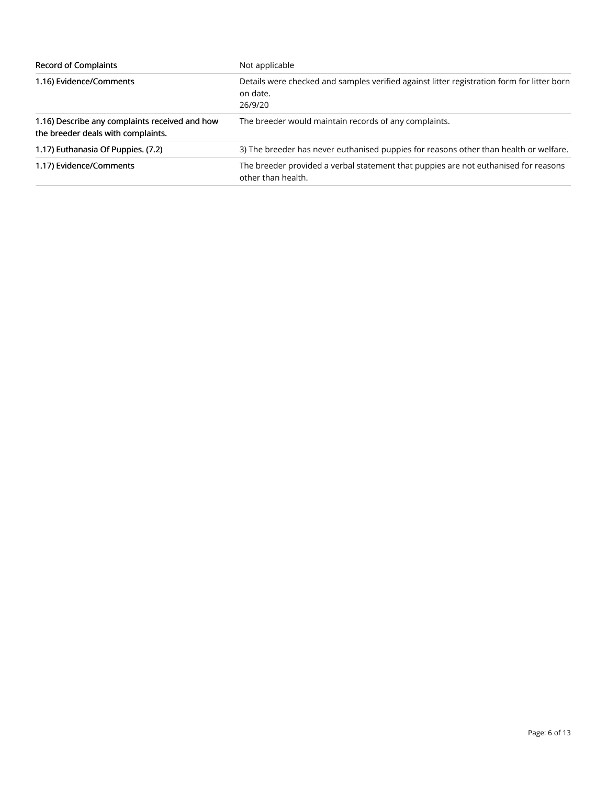| <b>Record of Complaints</b>                                                          | Not applicable                                                                                                    |
|--------------------------------------------------------------------------------------|-------------------------------------------------------------------------------------------------------------------|
| 1.16) Evidence/Comments                                                              | Details were checked and samples verified against litter registration form for litter born<br>on date.<br>26/9/20 |
| 1.16) Describe any complaints received and how<br>the breeder deals with complaints. | The breeder would maintain records of any complaints.                                                             |
| 1.17) Euthanasia Of Puppies. (7.2)                                                   | 3) The breeder has never euthanised puppies for reasons other than health or welfare.                             |
| 1.17) Evidence/Comments                                                              | The breeder provided a verbal statement that puppies are not euthanised for reasons<br>other than health.         |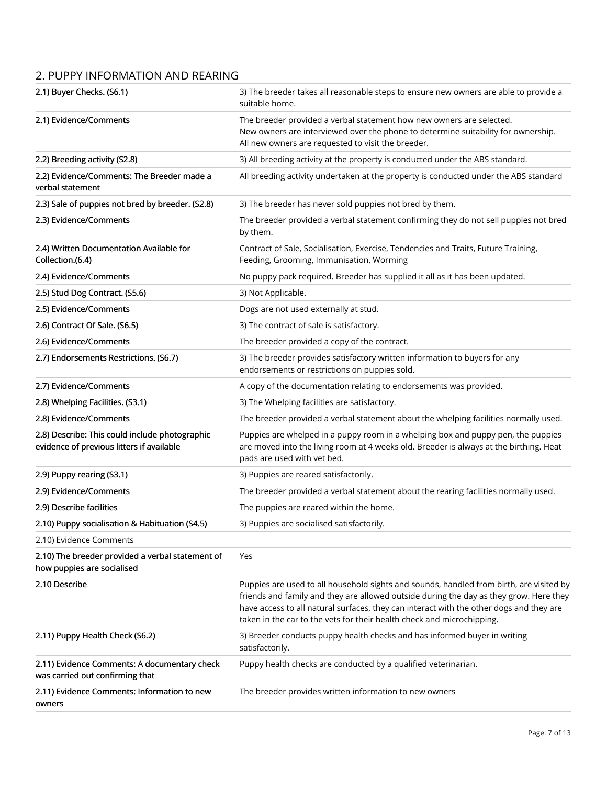## 2. PUPPY INFORMATION AND REARING

| 2.1) Buyer Checks. (S6.1)                                                                   | 3) The breeder takes all reasonable steps to ensure new owners are able to provide a<br>suitable home.                                                                                                                                                                                                                                                 |
|---------------------------------------------------------------------------------------------|--------------------------------------------------------------------------------------------------------------------------------------------------------------------------------------------------------------------------------------------------------------------------------------------------------------------------------------------------------|
| 2.1) Evidence/Comments                                                                      | The breeder provided a verbal statement how new owners are selected.<br>New owners are interviewed over the phone to determine suitability for ownership.<br>All new owners are requested to visit the breeder.                                                                                                                                        |
| 2.2) Breeding activity (S2.8)                                                               | 3) All breeding activity at the property is conducted under the ABS standard.                                                                                                                                                                                                                                                                          |
| 2.2) Evidence/Comments: The Breeder made a<br>verbal statement                              | All breeding activity undertaken at the property is conducted under the ABS standard                                                                                                                                                                                                                                                                   |
| 2.3) Sale of puppies not bred by breeder. (S2.8)                                            | 3) The breeder has never sold puppies not bred by them.                                                                                                                                                                                                                                                                                                |
| 2.3) Evidence/Comments                                                                      | The breeder provided a verbal statement confirming they do not sell puppies not bred<br>by them.                                                                                                                                                                                                                                                       |
| 2.4) Written Documentation Available for<br>Collection.(6.4)                                | Contract of Sale, Socialisation, Exercise, Tendencies and Traits, Future Training,<br>Feeding, Grooming, Immunisation, Worming                                                                                                                                                                                                                         |
| 2.4) Evidence/Comments                                                                      | No puppy pack required. Breeder has supplied it all as it has been updated.                                                                                                                                                                                                                                                                            |
| 2.5) Stud Dog Contract. (S5.6)                                                              | 3) Not Applicable.                                                                                                                                                                                                                                                                                                                                     |
| 2.5) Evidence/Comments                                                                      | Dogs are not used externally at stud.                                                                                                                                                                                                                                                                                                                  |
| 2.6) Contract Of Sale. (S6.5)                                                               | 3) The contract of sale is satisfactory.                                                                                                                                                                                                                                                                                                               |
| 2.6) Evidence/Comments                                                                      | The breeder provided a copy of the contract.                                                                                                                                                                                                                                                                                                           |
| 2.7) Endorsements Restrictions. (S6.7)                                                      | 3) The breeder provides satisfactory written information to buyers for any<br>endorsements or restrictions on puppies sold.                                                                                                                                                                                                                            |
| 2.7) Evidence/Comments                                                                      | A copy of the documentation relating to endorsements was provided.                                                                                                                                                                                                                                                                                     |
| 2.8) Whelping Facilities. (S3.1)                                                            | 3) The Whelping facilities are satisfactory.                                                                                                                                                                                                                                                                                                           |
| 2.8) Evidence/Comments                                                                      | The breeder provided a verbal statement about the whelping facilities normally used.                                                                                                                                                                                                                                                                   |
| 2.8) Describe: This could include photographic<br>evidence of previous litters if available | Puppies are whelped in a puppy room in a whelping box and puppy pen, the puppies<br>are moved into the living room at 4 weeks old. Breeder is always at the birthing. Heat<br>pads are used with vet bed.                                                                                                                                              |
| 2.9) Puppy rearing (S3.1)                                                                   | 3) Puppies are reared satisfactorily.                                                                                                                                                                                                                                                                                                                  |
| 2.9) Evidence/Comments                                                                      | The breeder provided a verbal statement about the rearing facilities normally used.                                                                                                                                                                                                                                                                    |
| 2.9) Describe facilities                                                                    | The puppies are reared within the home.                                                                                                                                                                                                                                                                                                                |
| 2.10) Puppy socialisation & Habituation (S4.5)                                              | 3) Puppies are socialised satisfactorily.                                                                                                                                                                                                                                                                                                              |
| 2.10) Evidence Comments                                                                     |                                                                                                                                                                                                                                                                                                                                                        |
| 2.10) The breeder provided a verbal statement of<br>how puppies are socialised              | Yes                                                                                                                                                                                                                                                                                                                                                    |
| 2.10 Describe                                                                               | Puppies are used to all household sights and sounds, handled from birth, are visited by<br>friends and family and they are allowed outside during the day as they grow. Here they<br>have access to all natural surfaces, they can interact with the other dogs and they are<br>taken in the car to the vets for their health check and microchipping. |
| 2.11) Puppy Health Check (S6.2)                                                             | 3) Breeder conducts puppy health checks and has informed buyer in writing<br>satisfactorily.                                                                                                                                                                                                                                                           |
| 2.11) Evidence Comments: A documentary check<br>was carried out confirming that             | Puppy health checks are conducted by a qualified veterinarian.                                                                                                                                                                                                                                                                                         |
| 2.11) Evidence Comments: Information to new<br>owners                                       | The breeder provides written information to new owners                                                                                                                                                                                                                                                                                                 |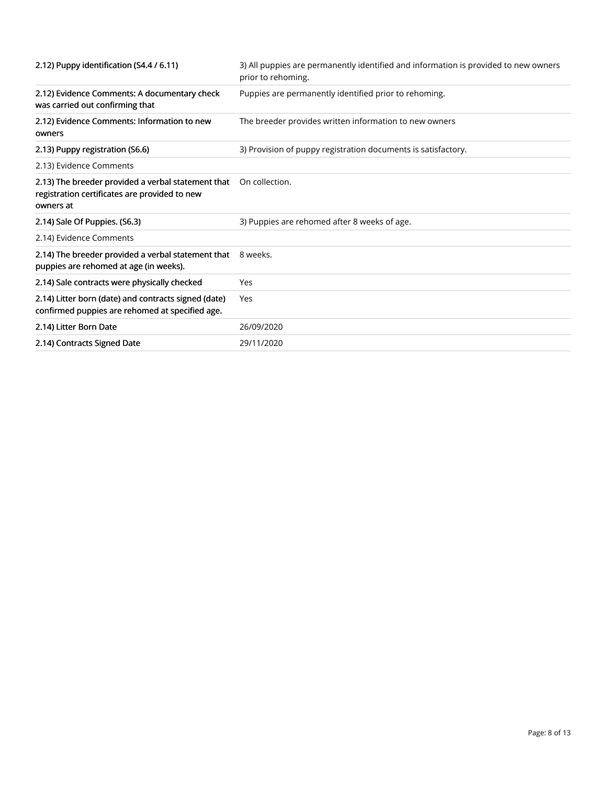| 2.12) Puppy identification (S4.4 / 6.11)                                                                         | 3) All puppies are permanently identified and information is provided to new owners<br>prior to rehoming. |
|------------------------------------------------------------------------------------------------------------------|-----------------------------------------------------------------------------------------------------------|
| 2.12) Evidence Comments: A documentary check<br>was carried out confirming that                                  | Puppies are permanently identified prior to rehoming.                                                     |
| 2.12) Evidence Comments: Information to new<br>owners                                                            | The breeder provides written information to new owners                                                    |
| 2.13) Puppy registration (S6.6)                                                                                  | 3) Provision of puppy registration documents is satisfactory.                                             |
| 2.13) Evidence Comments                                                                                          |                                                                                                           |
| 2.13) The breeder provided a verbal statement that<br>registration certificates are provided to new<br>owners at | On collection.                                                                                            |
| 2.14) Sale Of Puppies. (S6.3)                                                                                    | 3) Puppies are rehomed after 8 weeks of age.                                                              |
| 2.14) Evidence Comments                                                                                          |                                                                                                           |
| 2.14) The breeder provided a verbal statement that 8 weeks.<br>puppies are rehomed at age (in weeks).            |                                                                                                           |
| 2.14) Sale contracts were physically checked                                                                     | Yes                                                                                                       |
| 2.14) Litter born (date) and contracts signed (date)<br>confirmed puppies are rehomed at specified age.          | Yes                                                                                                       |
| 2.14) Litter Born Date                                                                                           | 26/09/2020                                                                                                |
| 2.14) Contracts Signed Date                                                                                      | 29/11/2020                                                                                                |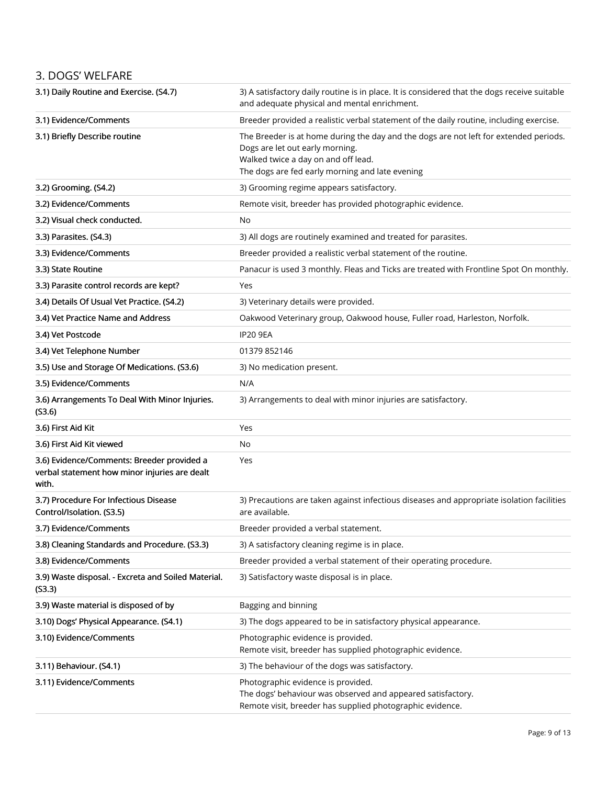#### 3. DOGS' WELFARE

| 3.1) Daily Routine and Exercise. (S4.7)                                                              | 3) A satisfactory daily routine is in place. It is considered that the dogs receive suitable<br>and adequate physical and mental enrichment.                                                                       |
|------------------------------------------------------------------------------------------------------|--------------------------------------------------------------------------------------------------------------------------------------------------------------------------------------------------------------------|
| 3.1) Evidence/Comments                                                                               | Breeder provided a realistic verbal statement of the daily routine, including exercise.                                                                                                                            |
| 3.1) Briefly Describe routine                                                                        | The Breeder is at home during the day and the dogs are not left for extended periods.<br>Dogs are let out early morning.<br>Walked twice a day on and off lead.<br>The dogs are fed early morning and late evening |
| 3.2) Grooming. (S4.2)                                                                                | 3) Grooming regime appears satisfactory.                                                                                                                                                                           |
| 3.2) Evidence/Comments                                                                               | Remote visit, breeder has provided photographic evidence.                                                                                                                                                          |
| 3.2) Visual check conducted.                                                                         | No                                                                                                                                                                                                                 |
| 3.3) Parasites. (S4.3)                                                                               | 3) All dogs are routinely examined and treated for parasites.                                                                                                                                                      |
| 3.3) Evidence/Comments                                                                               | Breeder provided a realistic verbal statement of the routine.                                                                                                                                                      |
| 3.3) State Routine                                                                                   | Panacur is used 3 monthly. Fleas and Ticks are treated with Frontline Spot On monthly.                                                                                                                             |
| 3.3) Parasite control records are kept?                                                              | Yes                                                                                                                                                                                                                |
| 3.4) Details Of Usual Vet Practice. (S4.2)                                                           | 3) Veterinary details were provided.                                                                                                                                                                               |
| 3.4) Vet Practice Name and Address                                                                   | Oakwood Veterinary group, Oakwood house, Fuller road, Harleston, Norfolk.                                                                                                                                          |
| 3.4) Vet Postcode                                                                                    | <b>IP20 9EA</b>                                                                                                                                                                                                    |
| 3.4) Vet Telephone Number                                                                            | 01379 852146                                                                                                                                                                                                       |
| 3.5) Use and Storage Of Medications. (S3.6)                                                          | 3) No medication present.                                                                                                                                                                                          |
| 3.5) Evidence/Comments                                                                               | N/A                                                                                                                                                                                                                |
| 3.6) Arrangements To Deal With Minor Injuries.<br>(S3.6)                                             | 3) Arrangements to deal with minor injuries are satisfactory.                                                                                                                                                      |
| 3.6) First Aid Kit                                                                                   | Yes                                                                                                                                                                                                                |
| 3.6) First Aid Kit viewed                                                                            | No                                                                                                                                                                                                                 |
| 3.6) Evidence/Comments: Breeder provided a<br>verbal statement how minor injuries are dealt<br>with. | Yes                                                                                                                                                                                                                |
| 3.7) Procedure For Infectious Disease<br>Control/Isolation. (S3.5)                                   | 3) Precautions are taken against infectious diseases and appropriate isolation facilities<br>are available.                                                                                                        |
| 3.7) Evidence/Comments                                                                               | Breeder provided a verbal statement.                                                                                                                                                                               |
| 3.8) Cleaning Standards and Procedure. (S3.3)                                                        | 3) A satisfactory cleaning regime is in place.                                                                                                                                                                     |
| 3.8) Evidence/Comments                                                                               | Breeder provided a verbal statement of their operating procedure.                                                                                                                                                  |
| 3.9) Waste disposal. - Excreta and Soiled Material.<br>(53.3)                                        | 3) Satisfactory waste disposal is in place.                                                                                                                                                                        |
| 3.9) Waste material is disposed of by                                                                | Bagging and binning                                                                                                                                                                                                |
| 3.10) Dogs' Physical Appearance. (S4.1)                                                              | 3) The dogs appeared to be in satisfactory physical appearance.                                                                                                                                                    |
| 3.10) Evidence/Comments                                                                              | Photographic evidence is provided.<br>Remote visit, breeder has supplied photographic evidence.                                                                                                                    |
| 3.11) Behaviour. (S4.1)                                                                              | 3) The behaviour of the dogs was satisfactory.                                                                                                                                                                     |
| 3.11) Evidence/Comments                                                                              | Photographic evidence is provided.<br>The dogs' behaviour was observed and appeared satisfactory.<br>Remote visit, breeder has supplied photographic evidence.                                                     |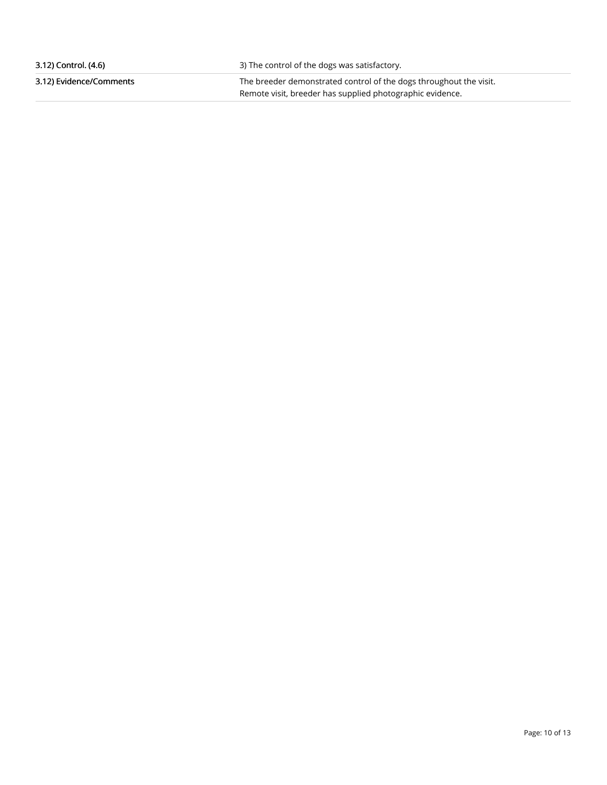| 3.12) Control. (4.6)    | 3) The control of the dogs was satisfactory.                       |
|-------------------------|--------------------------------------------------------------------|
| 3.12) Evidence/Comments | The breeder demonstrated control of the dogs throughout the visit. |
|                         | Remote visit, breeder has supplied photographic evidence.          |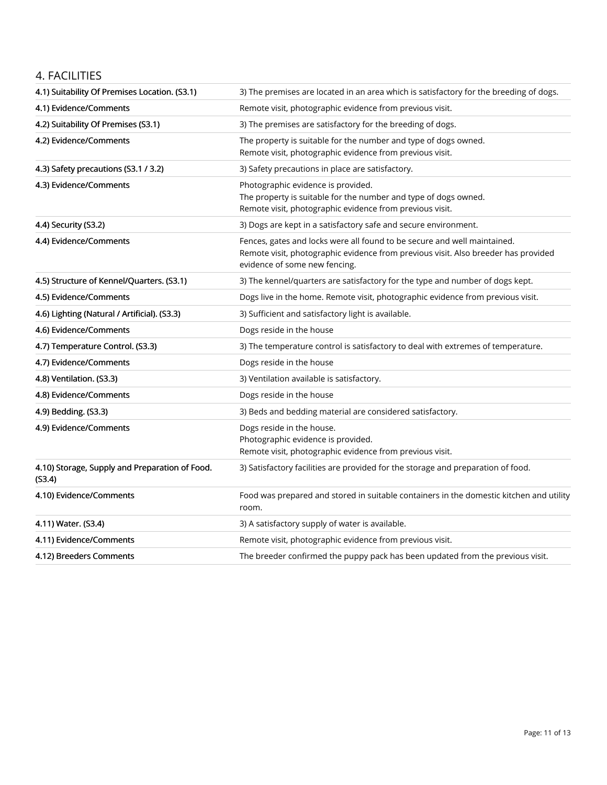#### 4. FACILITIES

| 4.1) Suitability Of Premises Location. (S3.1)            | 3) The premises are located in an area which is satisfactory for the breeding of dogs.                                                                                                          |
|----------------------------------------------------------|-------------------------------------------------------------------------------------------------------------------------------------------------------------------------------------------------|
| 4.1) Evidence/Comments                                   | Remote visit, photographic evidence from previous visit.                                                                                                                                        |
| 4.2) Suitability Of Premises (S3.1)                      | 3) The premises are satisfactory for the breeding of dogs.                                                                                                                                      |
| 4.2) Evidence/Comments                                   | The property is suitable for the number and type of dogs owned.<br>Remote visit, photographic evidence from previous visit.                                                                     |
| 4.3) Safety precautions (S3.1 / 3.2)                     | 3) Safety precautions in place are satisfactory.                                                                                                                                                |
| 4.3) Evidence/Comments                                   | Photographic evidence is provided.<br>The property is suitable for the number and type of dogs owned.<br>Remote visit, photographic evidence from previous visit.                               |
| 4.4) Security (S3.2)                                     | 3) Dogs are kept in a satisfactory safe and secure environment.                                                                                                                                 |
| 4.4) Evidence/Comments                                   | Fences, gates and locks were all found to be secure and well maintained.<br>Remote visit, photographic evidence from previous visit. Also breeder has provided<br>evidence of some new fencing. |
| 4.5) Structure of Kennel/Quarters. (S3.1)                | 3) The kennel/quarters are satisfactory for the type and number of dogs kept.                                                                                                                   |
| 4.5) Evidence/Comments                                   | Dogs live in the home. Remote visit, photographic evidence from previous visit.                                                                                                                 |
| 4.6) Lighting (Natural / Artificial). (S3.3)             | 3) Sufficient and satisfactory light is available.                                                                                                                                              |
| 4.6) Evidence/Comments                                   | Dogs reside in the house                                                                                                                                                                        |
| 4.7) Temperature Control. (S3.3)                         | 3) The temperature control is satisfactory to deal with extremes of temperature.                                                                                                                |
| 4.7) Evidence/Comments                                   | Dogs reside in the house                                                                                                                                                                        |
| 4.8) Ventilation. (S3.3)                                 | 3) Ventilation available is satisfactory.                                                                                                                                                       |
| 4.8) Evidence/Comments                                   | Dogs reside in the house                                                                                                                                                                        |
| 4.9) Bedding. (S3.3)                                     | 3) Beds and bedding material are considered satisfactory.                                                                                                                                       |
| 4.9) Evidence/Comments                                   | Dogs reside in the house.<br>Photographic evidence is provided.<br>Remote visit, photographic evidence from previous visit.                                                                     |
| 4.10) Storage, Supply and Preparation of Food.<br>(S3.4) | 3) Satisfactory facilities are provided for the storage and preparation of food.                                                                                                                |
| 4.10) Evidence/Comments                                  | Food was prepared and stored in suitable containers in the domestic kitchen and utility<br>room.                                                                                                |
| 4.11) Water. (S3.4)                                      | 3) A satisfactory supply of water is available.                                                                                                                                                 |
| 4.11) Evidence/Comments                                  | Remote visit, photographic evidence from previous visit.                                                                                                                                        |
| 4.12) Breeders Comments                                  | The breeder confirmed the puppy pack has been updated from the previous visit.                                                                                                                  |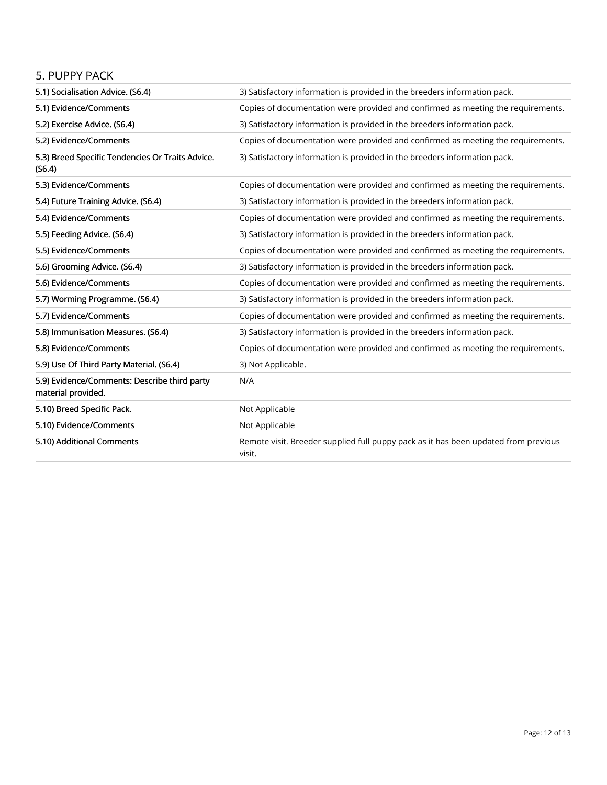#### 5. PUPPY PACK

| 5.1) Socialisation Advice. (S6.4)                                  | 3) Satisfactory information is provided in the breeders information pack.                     |
|--------------------------------------------------------------------|-----------------------------------------------------------------------------------------------|
| 5.1) Evidence/Comments                                             | Copies of documentation were provided and confirmed as meeting the requirements.              |
| 5.2) Exercise Advice. (S6.4)                                       | 3) Satisfactory information is provided in the breeders information pack.                     |
| 5.2) Evidence/Comments                                             | Copies of documentation were provided and confirmed as meeting the requirements.              |
| 5.3) Breed Specific Tendencies Or Traits Advice.<br>(S6.4)         | 3) Satisfactory information is provided in the breeders information pack.                     |
| 5.3) Evidence/Comments                                             | Copies of documentation were provided and confirmed as meeting the requirements.              |
| 5.4) Future Training Advice. (S6.4)                                | 3) Satisfactory information is provided in the breeders information pack.                     |
| 5.4) Evidence/Comments                                             | Copies of documentation were provided and confirmed as meeting the requirements.              |
| 5.5) Feeding Advice. (S6.4)                                        | 3) Satisfactory information is provided in the breeders information pack.                     |
| 5.5) Evidence/Comments                                             | Copies of documentation were provided and confirmed as meeting the requirements.              |
| 5.6) Grooming Advice. (S6.4)                                       | 3) Satisfactory information is provided in the breeders information pack.                     |
| 5.6) Evidence/Comments                                             | Copies of documentation were provided and confirmed as meeting the requirements.              |
| 5.7) Worming Programme. (S6.4)                                     | 3) Satisfactory information is provided in the breeders information pack.                     |
| 5.7) Evidence/Comments                                             | Copies of documentation were provided and confirmed as meeting the requirements.              |
| 5.8) Immunisation Measures. (S6.4)                                 | 3) Satisfactory information is provided in the breeders information pack.                     |
| 5.8) Evidence/Comments                                             | Copies of documentation were provided and confirmed as meeting the requirements.              |
| 5.9) Use Of Third Party Material. (S6.4)                           | 3) Not Applicable.                                                                            |
| 5.9) Evidence/Comments: Describe third party<br>material provided. | N/A                                                                                           |
| 5.10) Breed Specific Pack.                                         | Not Applicable                                                                                |
| 5.10) Evidence/Comments                                            | Not Applicable                                                                                |
| 5.10) Additional Comments                                          | Remote visit. Breeder supplied full puppy pack as it has been updated from previous<br>visit. |